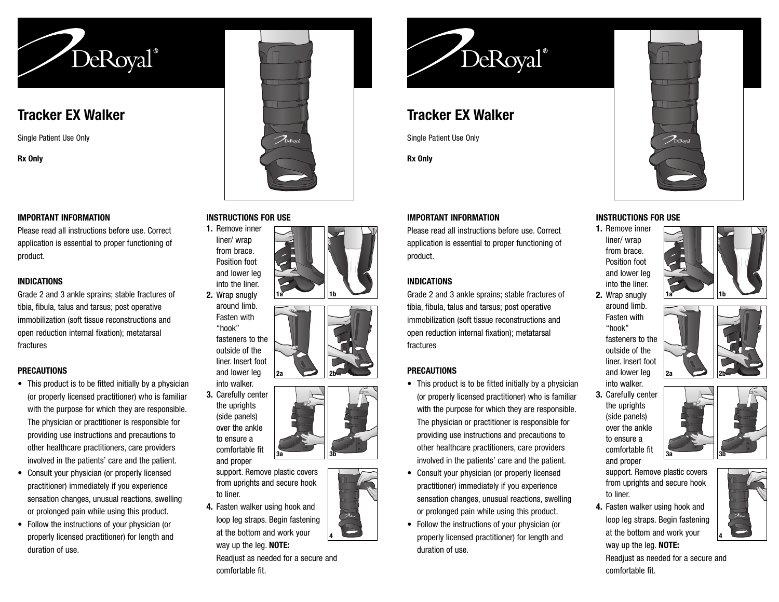

## **Tracker EX Walker**

Single Patient Use Only

**Rx Only**

#### **IMPORTANT INFORMATION**

Please read all instructions before use. Correct application is essential to proper functioning of product.

## **INDICATIONS**

Grade 2 and 3 ankle sprains; stable fractures of tibia, fibula, talus and tarsus; post operative immobilization (soft tissue reconstructions and open reduction internal fixation); metatarsal fractures

## **PRECAUTIONS**

- This product is to be fitted initially by a physician (or properly licensed practitioner) who is familiar with the purpose for which they are responsible. The physician or practitioner is responsible for providing use instructions and precautions to other healthcare practitioners, care providers involved in the patients' care and the patient.
- Consult your physician (or properly licensed practitioner) immediately if you experience sensation changes, unusual reactions, swelling or prolonged pain while using this product.
- Follow the instructions of your physician (or properly licensed practitioner) for length and duration of use.



#### **INSTRUCTIONS FOR USE**

**1.** Remove inner liner/ wrap from brace. Position foot and lower leg into the liner. **2.** Wrap snugly **1a 1b**

**2a 2b**

**3a 3b**

around limb. Fasten with "hook" fasteners to the outside of the liner. Insert foot

and lower leg into walker. **3.** Carefully center the uprights (side panels) over the ankle to ensure a comfortable fit and proper

support. Remove plastic covers from uprights and secure hook to liner.

**4.** Fasten walker using hook and loop leg straps. Begin fastening at the bottom and work your way up the leg. **NOTE:**

Readjust as needed for a secure and comfortable fit.



# **Tracker EX Walker**

Single Patient Use Only

**Rx Only**

## **IMPORTANT INFORMATION**

Please read all instructions before use. Correct application is essential to proper functioning of product.

## **INDICATIONS**

Grade 2 and 3 ankle sprains; stable fractures of tibia, fibula, talus and tarsus; post operative immobilization (soft tissue reconstructions and open reduction internal fixation); metatarsal fractures

## **PRECAUTIONS**

- This product is to be fitted initially by a physician (or properly licensed practitioner) who is familiar with the purpose for which they are responsible. The physician or practitioner is responsible for providing use instructions and precautions to other healthcare practitioners, care providers involved in the patients' care and the patient.
- Consult your physician (or properly licensed practitioner) immediately if you experience sensation changes, unusual reactions, swelling or prolonged pain while using this product.
- Follow the instructions of your physician (or **4 EXECUTE:** properly licensed practitioner) for length and **A A** at the bottom and work your duration of use.

# **INSTRUCTIONS FOR USE**

**1.** Remove inner liner/ wrap from brace. Position foot and lower leg into the liner.



**2.** Wrap snugly around limb. Fasten with "hook" fasteners to the outside of the liner. Insert foot and lower leg into walker. **2a 2b**



**3.** Carefully center the uprights (side panels) over the ankle to ensure a comfortable fit and proper



**4.** Fasten walker using hook and loop leg straps. Begin fastening at the bottom and work your way up the leg. **NOTE:**